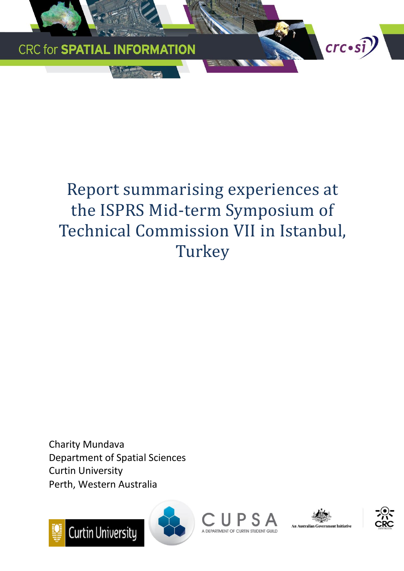

# Report summarising experiences at the ISPRS Mid-term Symposium of Technical Commission VII in Istanbul, **Turkey**

Charity Mundava Department of Spatial Sciences Curtin University Perth, Western Australia







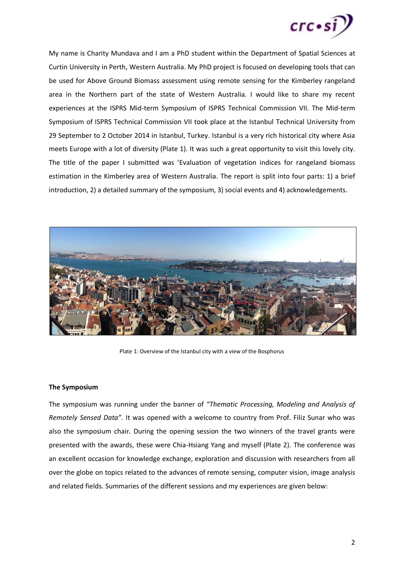

My name is Charity Mundava and I am a PhD student within the Department of Spatial Sciences at Curtin University in Perth, Western Australia. My PhD project is focused on developing tools that can be used for Above Ground Biomass assessment using remote sensing for the Kimberley rangeland area in the Northern part of the state of Western Australia. I would like to share my recent experiences at the ISPRS Mid-term Symposium of ISPRS Technical Commission VII. The Mid-term Symposium of ISPRS Technical Commission VII took place at the Istanbul Technical University from 29 September to 2 October 2014 in Istanbul, Turkey. Istanbul is a very rich historical city where Asia meets Europe with a lot of diversity (Plate 1). It was such a great opportunity to visit this lovely city. The title of the paper I submitted was 'Evaluation of vegetation indices for rangeland biomass estimation in the Kimberley area of Western Australia. The report is split into four parts: 1) a brief introduction, 2) a detailed summary of the symposium, 3) social events and 4) acknowledgements.



Plate 1: Overview of the Istanbul city with a view of the Bosphorus

### **The Symposium**

The symposium was running under the banner of *"Thematic Processing, Modeling and Analysis of Remotely Sensed Data".* It was opened with a welcome to country from Prof. Filiz Sunar who was also the symposium chair. During the opening session the two winners of the travel grants were presented with the awards, these were Chia-Hsiang Yang and myself (Plate 2). The conference was an excellent occasion for knowledge exchange, exploration and discussion with researchers from all over the globe on topics related to the advances of remote sensing, computer vision, image analysis and related fields. Summaries of the different sessions and my experiences are given below: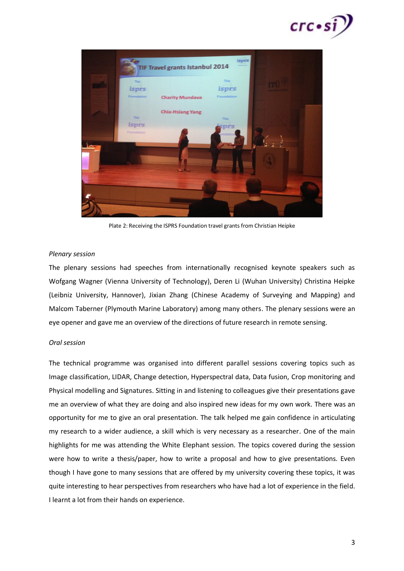



Plate 2: Receiving the ISPRS Foundation travel grants from Christian Heipke

#### *Plenary session*

The plenary sessions had speeches from internationally recognised keynote speakers such as Wofgang Wagner (Vienna University of Technology), Deren Li (Wuhan University) Christina Heipke (Leibniz University, Hannover), Jixian Zhang (Chinese Academy of Surveying and Mapping) and Malcom Taberner (Plymouth Marine Laboratory) among many others. The plenary sessions were an eye opener and gave me an overview of the directions of future research in remote sensing.

#### *Oral session*

The technical programme was organised into different parallel sessions covering topics such as Image classification, LIDAR, Change detection, Hyperspectral data, Data fusion, Crop monitoring and Physical modelling and Signatures. Sitting in and listening to colleagues give their presentations gave me an overview of what they are doing and also inspired new ideas for my own work. There was an opportunity for me to give an oral presentation. The talk helped me gain confidence in articulating my research to a wider audience, a skill which is very necessary as a researcher. One of the main highlights for me was attending the White Elephant session. The topics covered during the session were how to write a thesis/paper, how to write a proposal and how to give presentations. Even though I have gone to many sessions that are offered by my university covering these topics, it was quite interesting to hear perspectives from researchers who have had a lot of experience in the field. I learnt a lot from their hands on experience.